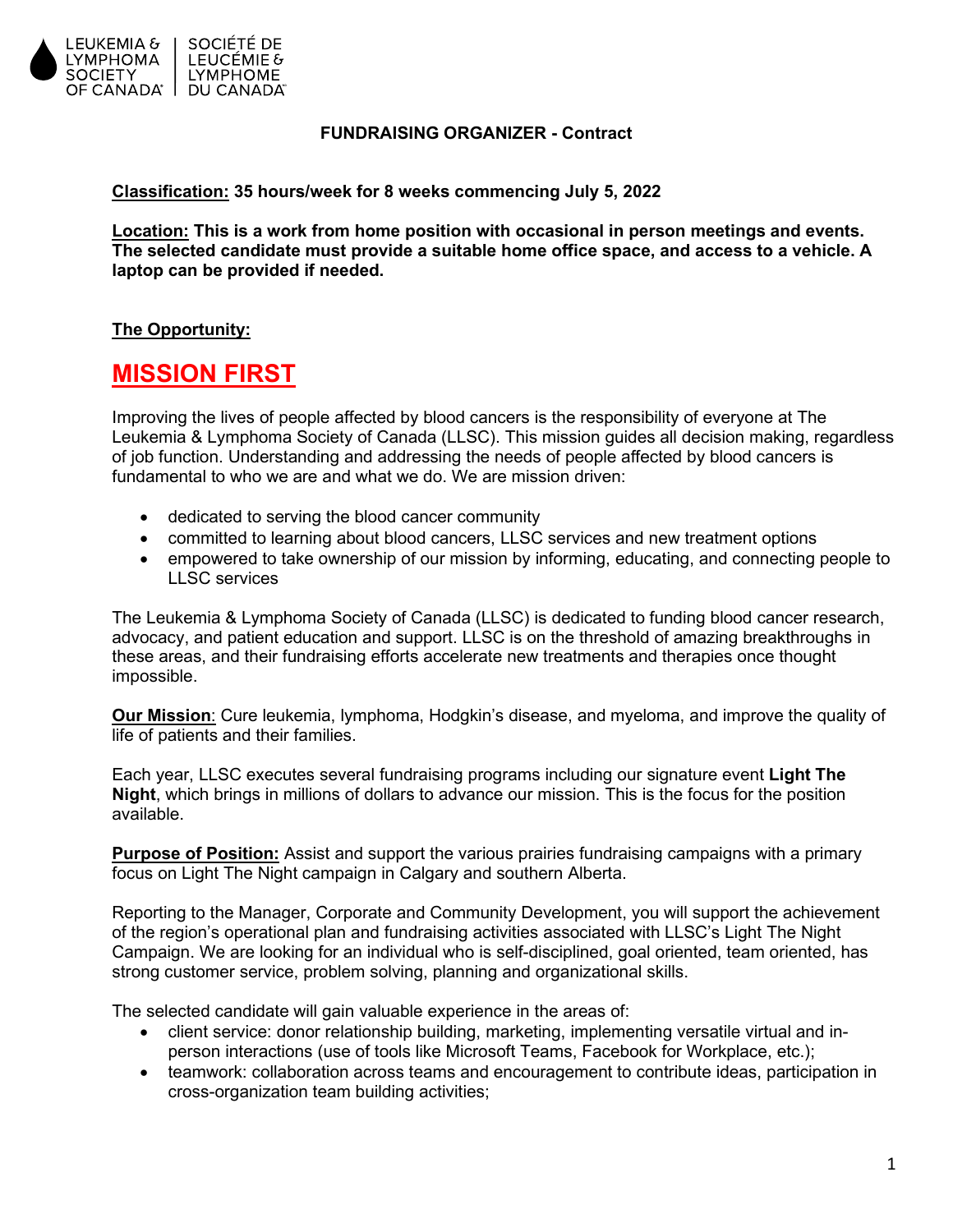

### **FUNDRAISING ORGANIZER - Contract**

**Classification: 35 hours/week for 8 weeks commencing July 5, 2022**

**Location: This is a work from home position with occasional in person meetings and events. The selected candidate must provide a suitable home office space, and access to a vehicle. A laptop can be provided if needed.** 

# **The Opportunity:**

# **MISSION FIRST**

Improving the lives of people affected by blood cancers is the responsibility of everyone at The Leukemia & Lymphoma Society of Canada (LLSC). This mission guides all decision making, regardless of job function. Understanding and addressing the needs of people affected by blood cancers is fundamental to who we are and what we do. We are mission driven:

- dedicated to serving the blood cancer community
- committed to learning about blood cancers, LLSC services and new treatment options
- empowered to take ownership of our mission by informing, educating, and connecting people to LLSC services

The Leukemia & Lymphoma Society of Canada (LLSC) is dedicated to funding blood cancer research, advocacy, and patient education and support. LLSC is on the threshold of amazing breakthroughs in these areas, and their fundraising efforts accelerate new treatments and therapies once thought impossible.

**Our Mission**: Cure leukemia, lymphoma, Hodgkin's disease, and myeloma, and improve the quality of life of patients and their families.

Each year, LLSC executes several fundraising programs including our signature event **Light The Night**, which brings in millions of dollars to advance our mission. This is the focus for the position available.

**Purpose of Position:** Assist and support the various prairies fundraising campaigns with a primary focus on Light The Night campaign in Calgary and southern Alberta.

Reporting to the Manager, Corporate and Community Development, you will support the achievement of the region's operational plan and fundraising activities associated with LLSC's Light The Night Campaign. We are looking for an individual who is self-disciplined, goal oriented, team oriented, has strong customer service, problem solving, planning and organizational skills.

The selected candidate will gain valuable experience in the areas of:

- client service: donor relationship building, marketing, implementing versatile virtual and inperson interactions (use of tools like Microsoft Teams, Facebook for Workplace, etc.);
- teamwork: collaboration across teams and encouragement to contribute ideas, participation in cross-organization team building activities;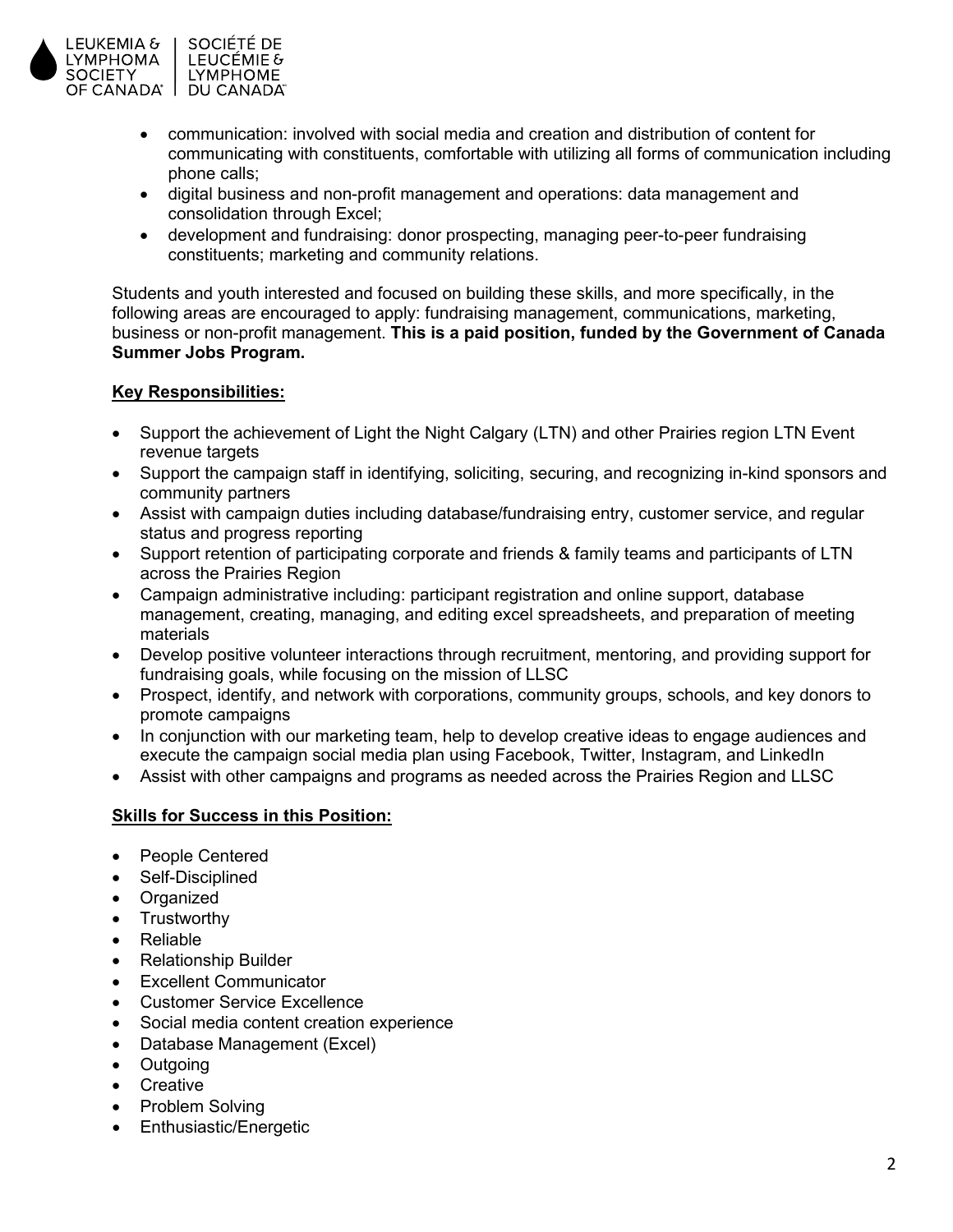

- communication: involved with social media and creation and distribution of content for communicating with constituents, comfortable with utilizing all forms of communication including phone calls;
- digital business and non-profit management and operations: data management and consolidation through Excel;
- development and fundraising: donor prospecting, managing peer-to-peer fundraising constituents; marketing and community relations.

Students and youth interested and focused on building these skills, and more specifically, in the following areas are encouraged to apply: fundraising management, communications, marketing, business or non-profit management. **This is a paid position, funded by the Government of Canada Summer Jobs Program.**

# **Key Responsibilities:**

- Support the achievement of Light the Night Calgary (LTN) and other Prairies region LTN Event revenue targets
- Support the campaign staff in identifying, soliciting, securing, and recognizing in-kind sponsors and community partners
- Assist with campaign duties including database/fundraising entry, customer service, and regular status and progress reporting
- Support retention of participating corporate and friends & family teams and participants of LTN across the Prairies Region
- Campaign administrative including: participant registration and online support, database management, creating, managing, and editing excel spreadsheets, and preparation of meeting materials
- Develop positive volunteer interactions through recruitment, mentoring, and providing support for fundraising goals, while focusing on the mission of LLSC
- Prospect, identify, and network with corporations, community groups, schools, and key donors to promote campaigns
- In conjunction with our marketing team, help to develop creative ideas to engage audiences and execute the campaign social media plan using Facebook, Twitter, Instagram, and LinkedIn
- Assist with other campaigns and programs as needed across the Prairies Region and LLSC

# **Skills for Success in this Position:**

- People Centered
- Self-Disciplined
- Organized
- Trustworthy
- Reliable
- Relationship Builder
- **Excellent Communicator**
- Customer Service Excellence
- Social media content creation experience
- Database Management (Excel)
- Outgoing
- Creative
- Problem Solving
- Enthusiastic/Energetic